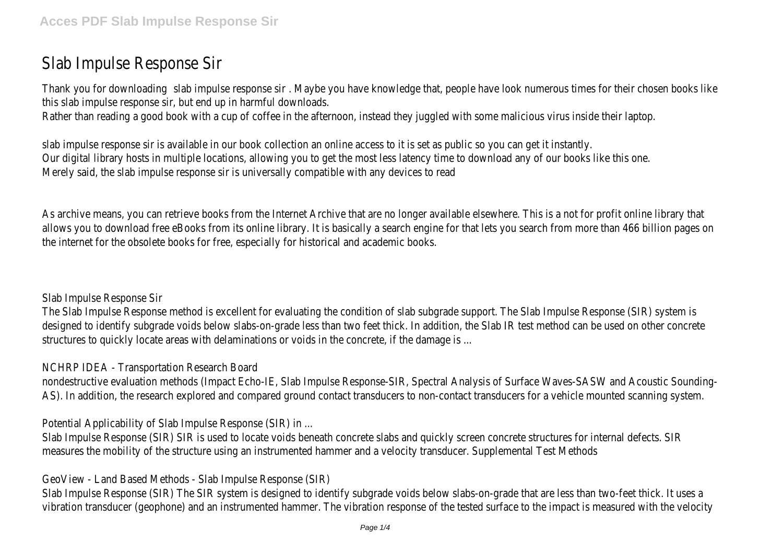# Slab Impulse Response Sir

Thank you for downloading slab impulse response sir . Maybe you have knowledge that, people have look numerous times for their chosen books like this slab impulse response sir, but end up in harmful downloads.

Rather than reading a good book with a cup of coffee in the afternoon, instead they juggled with some malicious virus inside their laptop.

slab impulse response sir is available in our book collection an online access to it is set as public so you can get it instantly. Our digital library hosts in multiple locations, allowing you to get the most less latency time to download any of our books like this one. Merely said, the slab impulse response sir is universally compatible with any devices to read

As archive means, you can retrieve books from the Internet Archive that are no longer available elsewhere. This is a not for profit online library that allows you to download free eBooks from its online library. It is basically a search engine for that lets you search from more than 466 billion pages on the internet for the obsolete books for free, especially for historical and academic books.

Slab Impulse Response Sir

The Slab Impulse Response method is excellent for evaluating the condition of slab subgrade support. The Slab Impulse Response (SIR) system is designed to identify subgrade voids below slabs-on-grade less than two feet thick. In addition, the Slab IR test method can be used on other concrete structures to quickly locate areas with delaminations or voids in the concrete, if the damage is ...

NCHRP IDEA - Transportation Research Board

nondestructive evaluation methods (Impact Echo-IE, Slab Impulse Response-SIR, Spectral Analysis of Surface Waves-SASW and Acoustic Sounding-AS). In addition, the research explored and compared ground contact transducers to non-contact transducers for a vehicle mounted scanning system.

Potential Applicability of Slab Impulse Response (SIR) in ...

Slab Impulse Response (SIR) SIR is used to locate voids beneath concrete slabs and quickly screen concrete structures for internal defects. SIR measures the mobility of the structure using an instrumented hammer and a velocity transducer. Supplemental Test Methods

GeoView - Land Based Methods - Slab Impulse Response (SIR)

Slab Impulse Response (SIR) The SIR system is designed to identify subgrade voids below slabs-on-grade that are less than two-feet thick. It uses a vibration transducer (geophone) and an instrumented hammer. The vibration response of the tested surface to the impact is measured with the velocity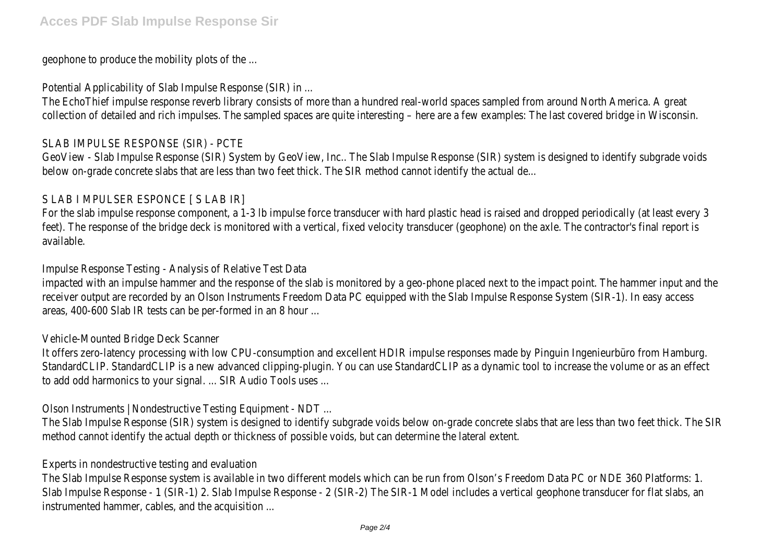#### geophone to produce the mobility plots of the ...

#### Potential Applicability of Slab Impulse Response (SIR) in ...

The EchoThief impulse response reverb library consists of more than a hundred real-world spaces sampled from around North America. A great collection of detailed and rich impulses. The sampled spaces are quite interesting – here are a few examples: The last covered bridge in Wisconsin.

#### SLAB IMPULSE RESPONSE (SIR) - PCTE

GeoView - Slab Impulse Response (SIR) System by GeoView, Inc.. The Slab Impulse Response (SIR) system is designed to identify subgrade voids below on-grade concrete slabs that are less than two feet thick. The SIR method cannot identify the actual de...

#### S LAB I MPULSER ESPONCE [ S LAB IR]

For the slab impulse response component, a 1-3 lb impulse force transducer with hard plastic head is raised and dropped periodically (at least every 3 feet). The response of the bridge deck is monitored with a vertical, fixed velocity transducer (geophone) on the axle. The contractor's final report is available.

#### Impulse Response Testing - Analysis of Relative Test Data

impacted with an impulse hammer and the response of the slab is monitored by a geo-phone placed next to the impact point. The hammer input and the receiver output are recorded by an Olson Instruments Freedom Data PC equipped with the Slab Impulse Response System (SIR-1). In easy access areas, 400-600 Slab IR tests can be per-formed in an 8 hour ...

#### Vehicle-Mounted Bridge Deck Scanner

It offers zero-latency processing with low CPU-consumption and excellent HDIR impulse responses made by Pinguin Ingenieurbüro from Hamburg. StandardCLIP. StandardCLIP is a new advanced clipping-plugin. You can use StandardCLIP as a dynamic tool to increase the volume or as an effect to add odd harmonics to your signal. ... SIR Audio Tools uses ...

Olson Instruments | Nondestructive Testing Equipment - NDT ...

The Slab Impulse Response (SIR) system is designed to identify subgrade voids below on-grade concrete slabs that are less than two feet thick. The SIR method cannot identify the actual depth or thickness of possible voids, but can determine the lateral extent.

#### Experts in nondestructive testing and evaluation

The Slab Impulse Response system is available in two different models which can be run from Olson's Freedom Data PC or NDE 360 Platforms: 1. Slab Impulse Response - 1 (SIR-1) 2. Slab Impulse Response - 2 (SIR-2) The SIR-1 Model includes a vertical geophone transducer for flat slabs, an instrumented hammer, cables, and the acquisition ...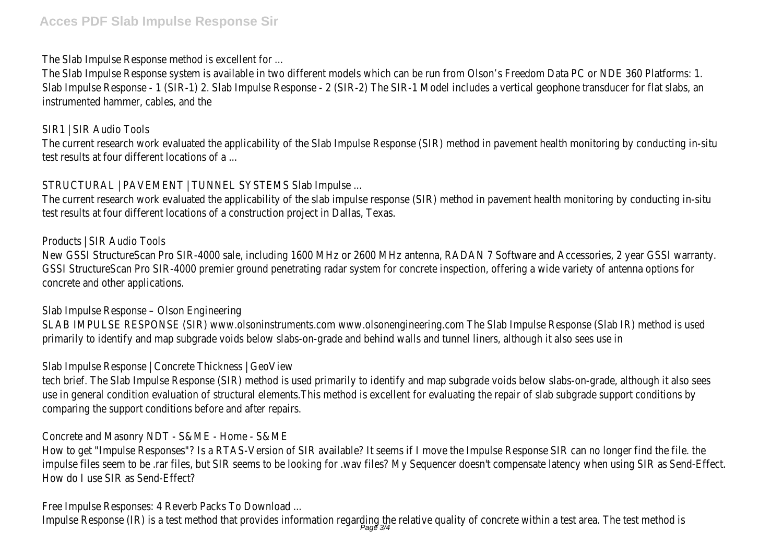# **Acces PDF Slab Impulse Response Sir**

#### The Slab Impulse Response method is excellent for ...

The Slab Impulse Response system is available in two different models which can be run from Olson's Freedom Data PC or NDE 360 Platforms: 1. Slab Impulse Response - 1 (SIR-1) 2. Slab Impulse Response - 2 (SIR-2) The SIR-1 Model includes a vertical geophone transducer for flat slabs, an instrumented hammer, cables, and the

# SIR1 | SIR Audio Tools

The current research work evaluated the applicability of the Slab Impulse Response (SIR) method in pavement health monitoring by conducting in-situ test results at four different locations of a ...

# STRUCTURAL | PAVEMENT | TUNNEL SYSTEMS Slab Impulse ...

The current research work evaluated the applicability of the slab impulse response (SIR) method in pavement health monitoring by conducting in-situ test results at four different locations of a construction project in Dallas, Texas.

# Products | SIR Audio Tools

New GSSI StructureScan Pro SIR-4000 sale, including 1600 MHz or 2600 MHz antenna, RADAN 7 Software and Accessories, 2 year GSSI warranty. GSSI StructureScan Pro SIR-4000 premier ground penetrating radar system for concrete inspection, offering a wide variety of antenna options for concrete and other applications.

# Slab Impulse Response – Olson Engineering

SLAB IMPULSE RESPONSE (SIR) www.olsoninstruments.com www.olsonengineering.com The Slab Impulse Response (Slab IR) method is used primarily to identify and map subgrade voids below slabs-on-grade and behind walls and tunnel liners, although it also sees use in

# Slab Impulse Response | Concrete Thickness | GeoView

tech brief. The Slab Impulse Response (SIR) method is used primarily to identify and map subgrade voids below slabs-on-grade, although it also sees use in general condition evaluation of structural elements.This method is excellent for evaluating the repair of slab subgrade support conditions by comparing the support conditions before and after repairs.

# Concrete and Masonry NDT - S&ME - Home - S&ME

How to get "Impulse Responses"? Is a RTAS-Version of SIR available? It seems if I move the Impulse Response SIR can no longer find the file. the impulse files seem to be .rar files, but SIR seems to be looking for .wav files? My Sequencer doesn't compensate latency when using SIR as Send-Effect. How do I use SIR as Send-Effect?

# Free Impulse Responses: 4 Reverb Packs To Download ...

Impulse Response (IR) is a test method that provides information regarding the relative quality of concrete within a test area. The test method is